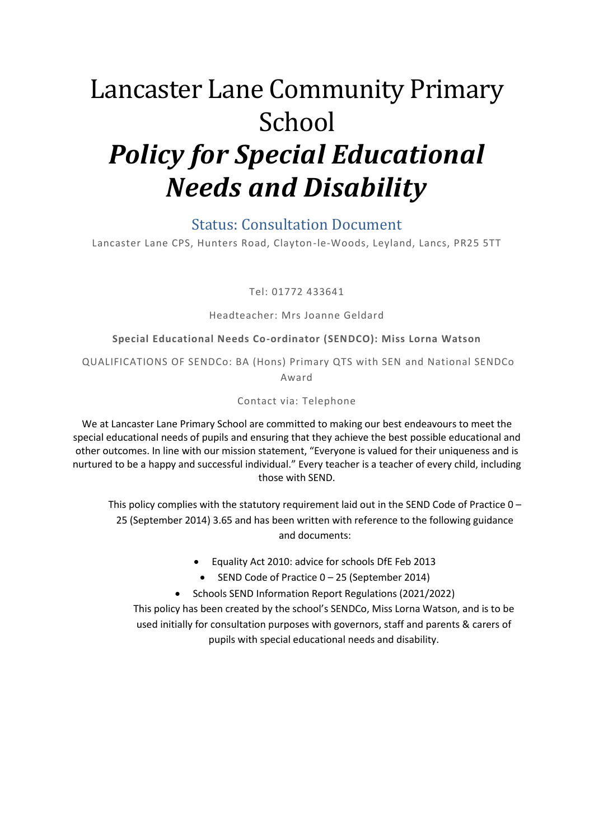# Lancaster Lane Community Primary School *Policy for Special Educational Needs and Disability*

#### Status: Consultation Document

Lancaster Lane CPS, Hunters Road, Clayton-le-Woods, Leyland, Lancs, PR25 5TT

Tel: 01772 433641

#### Headteacher: Mrs Joanne Geldard

#### **Special Educational Needs Co-ordinator (SENDCO): Miss Lorna Watson**

QUALIFICATIONS OF SENDCo: BA (Hons) Primary QTS with SEN and National SENDCo Award

#### Contact via: Telephone

We at Lancaster Lane Primary School are committed to making our best endeavours to meet the special educational needs of pupils and ensuring that they achieve the best possible educational and other outcomes. In line with our mission statement, "Everyone is valued for their uniqueness and is nurtured to be a happy and successful individual." Every teacher is a teacher of every child, including those with SEND.

This policy complies with the statutory requirement laid out in the SEND Code of Practice  $0 -$ 25 (September 2014) 3.65 and has been written with reference to the following guidance and documents:

- Equality Act 2010: advice for schools DfE Feb 2013
- $\bullet$  SEND Code of Practice 0 25 (September 2014)
- Schools SEND Information Report Regulations (2021/2022)

This policy has been created by the school's SENDCo, Miss Lorna Watson, and is to be used initially for consultation purposes with governors, staff and parents & carers of pupils with special educational needs and disability.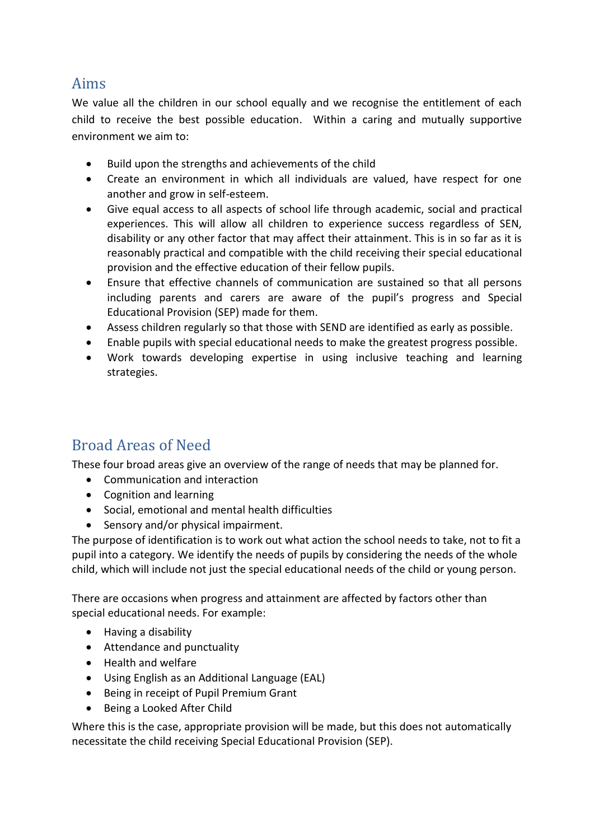#### Aims

We value all the children in our school equally and we recognise the entitlement of each child to receive the best possible education. Within a caring and mutually supportive environment we aim to:

- Build upon the strengths and achievements of the child
- Create an environment in which all individuals are valued, have respect for one another and grow in self-esteem.
- Give equal access to all aspects of school life through academic, social and practical experiences. This will allow all children to experience success regardless of SEN, disability or any other factor that may affect their attainment. This is in so far as it is reasonably practical and compatible with the child receiving their special educational provision and the effective education of their fellow pupils.
- Ensure that effective channels of communication are sustained so that all persons including parents and carers are aware of the pupil's progress and Special Educational Provision (SEP) made for them.
- Assess children regularly so that those with SEND are identified as early as possible.
- Enable pupils with special educational needs to make the greatest progress possible.
- Work towards developing expertise in using inclusive teaching and learning strategies.

## Broad Areas of Need

These four broad areas give an overview of the range of needs that may be planned for.

- Communication and interaction
- Cognition and learning
- Social, emotional and mental health difficulties
- Sensory and/or physical impairment.

The purpose of identification is to work out what action the school needs to take, not to fit a pupil into a category. We identify the needs of pupils by considering the needs of the whole child, which will include not just the special educational needs of the child or young person.

There are occasions when progress and attainment are affected by factors other than special educational needs. For example:

- Having a disability
- Attendance and punctuality
- Health and welfare
- Using English as an Additional Language (EAL)
- Being in receipt of Pupil Premium Grant
- Being a Looked After Child

Where this is the case, appropriate provision will be made, but this does not automatically necessitate the child receiving Special Educational Provision (SEP).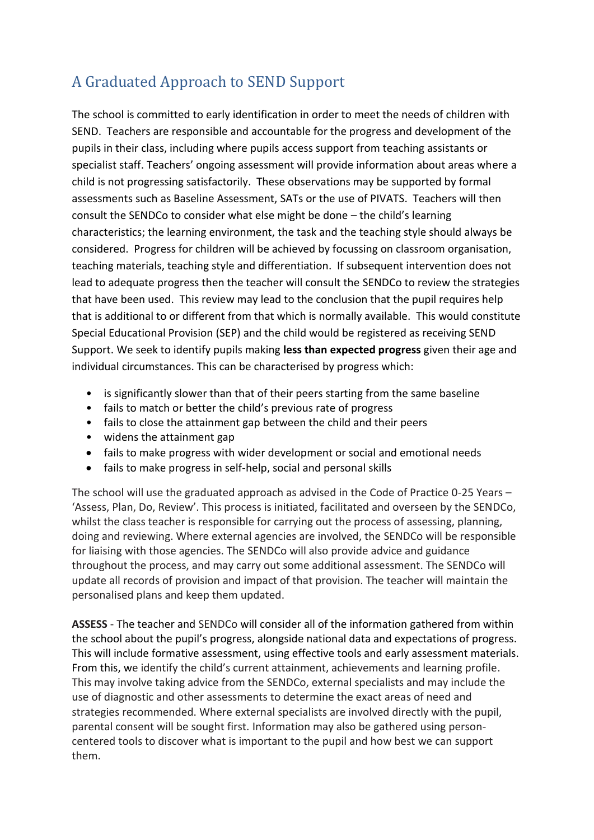## A Graduated Approach to SEND Support

The school is committed to early identification in order to meet the needs of children with SEND. Teachers are responsible and accountable for the progress and development of the pupils in their class, including where pupils access support from teaching assistants or specialist staff. Teachers' ongoing assessment will provide information about areas where a child is not progressing satisfactorily. These observations may be supported by formal assessments such as Baseline Assessment, SATs or the use of PIVATS. Teachers will then consult the SENDCo to consider what else might be done – the child's learning characteristics; the learning environment, the task and the teaching style should always be considered. Progress for children will be achieved by focussing on classroom organisation, teaching materials, teaching style and differentiation. If subsequent intervention does not lead to adequate progress then the teacher will consult the SENDCo to review the strategies that have been used. This review may lead to the conclusion that the pupil requires help that is additional to or different from that which is normally available. This would constitute Special Educational Provision (SEP) and the child would be registered as receiving SEND Support. We seek to identify pupils making **less than expected progress** given their age and individual circumstances. This can be characterised by progress which:

- is significantly slower than that of their peers starting from the same baseline
- fails to match or better the child's previous rate of progress
- fails to close the attainment gap between the child and their peers
- widens the attainment gap
- fails to make progress with wider development or social and emotional needs
- fails to make progress in self-help, social and personal skills

The school will use the graduated approach as advised in the Code of Practice 0-25 Years – 'Assess, Plan, Do, Review'. This process is initiated, facilitated and overseen by the SENDCo, whilst the class teacher is responsible for carrying out the process of assessing, planning, doing and reviewing. Where external agencies are involved, the SENDCo will be responsible for liaising with those agencies. The SENDCo will also provide advice and guidance throughout the process, and may carry out some additional assessment. The SENDCo will update all records of provision and impact of that provision. The teacher will maintain the personalised plans and keep them updated.

**ASSESS** - The teacher and SENDCo will consider all of the information gathered from within the school about the pupil's progress, alongside national data and expectations of progress. This will include formative assessment, using effective tools and early assessment materials. From this, we identify the child's current attainment, achievements and learning profile. This may involve taking advice from the SENDCo, external specialists and may include the use of diagnostic and other assessments to determine the exact areas of need and strategies recommended. Where external specialists are involved directly with the pupil, parental consent will be sought first. Information may also be gathered using personcentered tools to discover what is important to the pupil and how best we can support them.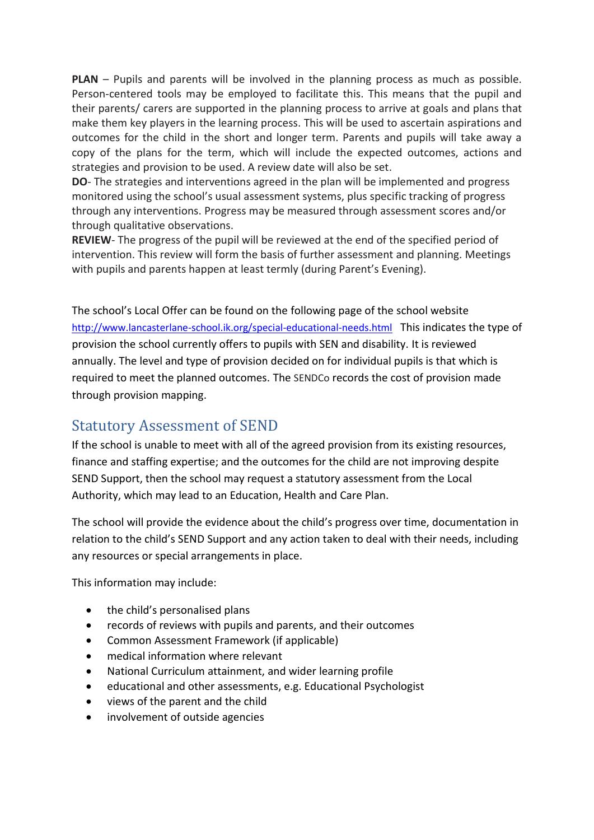**PLAN** – Pupils and parents will be involved in the planning process as much as possible. Person-centered tools may be employed to facilitate this. This means that the pupil and their parents/ carers are supported in the planning process to arrive at goals and plans that make them key players in the learning process. This will be used to ascertain aspirations and outcomes for the child in the short and longer term. Parents and pupils will take away a copy of the plans for the term, which will include the expected outcomes, actions and strategies and provision to be used. A review date will also be set.

**DO**- The strategies and interventions agreed in the plan will be implemented and progress monitored using the school's usual assessment systems, plus specific tracking of progress through any interventions. Progress may be measured through assessment scores and/or through qualitative observations.

**REVIEW**- The progress of the pupil will be reviewed at the end of the specified period of intervention. This review will form the basis of further assessment and planning. Meetings with pupils and parents happen at least termly (during Parent's Evening).

The school's Local Offer can be found on the following page of the school website <http://www.lancasterlane-school.ik.org/special-educational-needs.html> This indicates the type of provision the school currently offers to pupils with SEN and disability. It is reviewed annually. The level and type of provision decided on for individual pupils is that which is required to meet the planned outcomes. The SENDCo records the cost of provision made through provision mapping.

## Statutory Assessment of SEND

If the school is unable to meet with all of the agreed provision from its existing resources, finance and staffing expertise; and the outcomes for the child are not improving despite SEND Support, then the school may request a statutory assessment from the Local Authority, which may lead to an Education, Health and Care Plan.

The school will provide the evidence about the child's progress over time, documentation in relation to the child's SEND Support and any action taken to deal with their needs, including any resources or special arrangements in place.

This information may include:

- the child's personalised plans
- records of reviews with pupils and parents, and their outcomes
- Common Assessment Framework (if applicable)
- medical information where relevant
- National Curriculum attainment, and wider learning profile
- educational and other assessments, e.g. Educational Psychologist
- views of the parent and the child
- involvement of outside agencies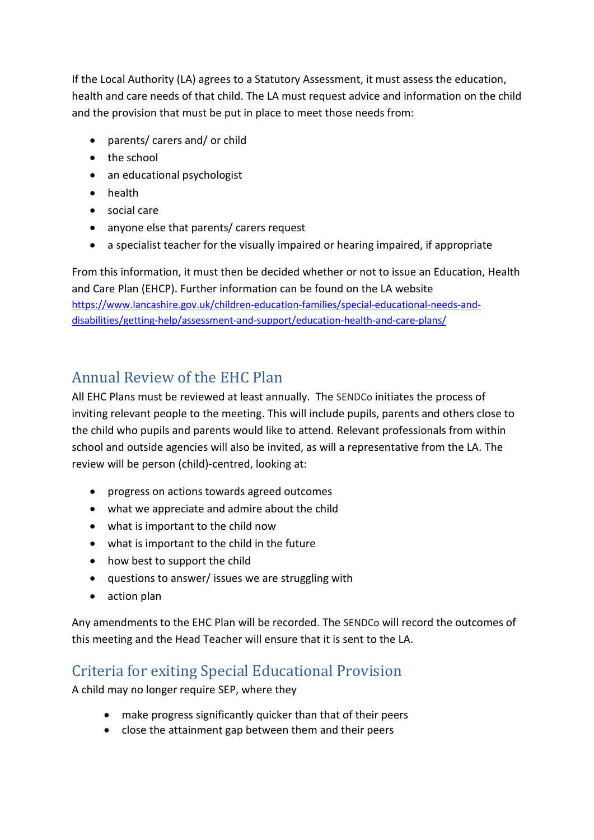If the Local Authority (LA) agrees to a Statutory Assessment, it must assess the education, health and care needs of that child. The LA must request advice and information on the child and the provision that must be put in place to meet those needs from:

- parents/ carers and/ or child
- the school
- an educational psychologist
- health
- social care
- anyone else that parents/ carers request
- a specialist teacher for the visually impaired or hearing impaired, if appropriate

From this information, it must then be decided whether or not to issue an Education, Health and Care Plan (EHCP). Further information can be found on the LA website [https://www.lancashire.gov.uk/children-education-families/special-educational-needs-and](https://www.lancashire.gov.uk/children-education-families/special-educational-needs-and-disabilities/getting-help/assessment-and-support/education-health-and-care-plans/)[disabilities/getting-help/assessment-and-support/education-health-and-care-plans/](https://www.lancashire.gov.uk/children-education-families/special-educational-needs-and-disabilities/getting-help/assessment-and-support/education-health-and-care-plans/)

#### Annual Review of the EHC Plan

All EHC Plans must be reviewed at least annually. The SENDCo initiates the process of inviting relevant people to the meeting. This will include pupils, parents and others close to the child who pupils and parents would like to attend. Relevant professionals from within school and outside agencies will also be invited, as will a representative from the LA. The review will be person (child)-centred, looking at:

- progress on actions towards agreed outcomes
- what we appreciate and admire about the child
- what is important to the child now
- what is important to the child in the future
- how best to support the child
- questions to answer/ issues we are struggling with
- action plan

Any amendments to the EHC Plan will be recorded. The SENDCo will record the outcomes of this meeting and the Head Teacher will ensure that it is sent to the LA.

#### Criteria for exiting Special Educational Provision

A child may no longer require SEP, where they

- make progress significantly quicker than that of their peers
- close the attainment gap between them and their peers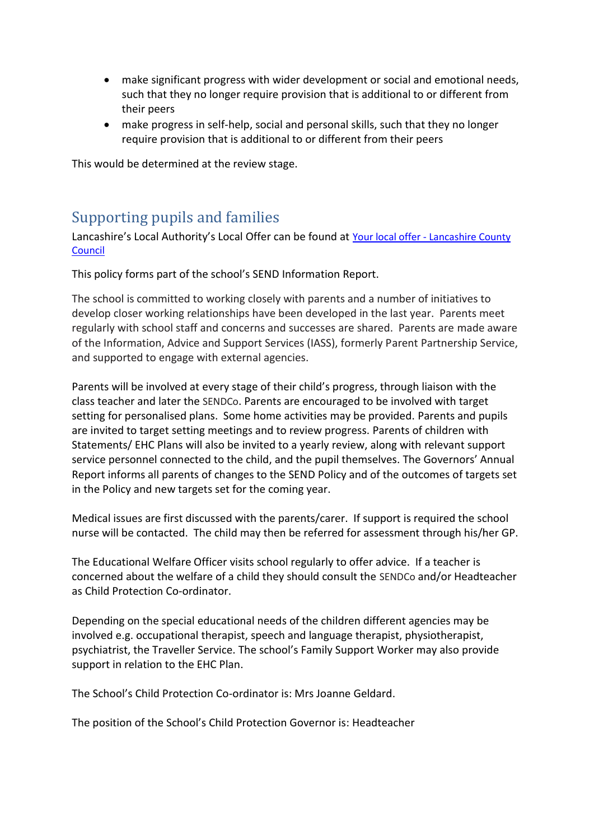- make significant progress with wider development or social and emotional needs, such that they no longer require provision that is additional to or different from their peers
- make progress in self-help, social and personal skills, such that they no longer require provision that is additional to or different from their peers

This would be determined at the review stage.

#### Supporting pupils and families

Lancashire's Local Authority's Local Offer can be found at Your local offer - [Lancashire County](https://www.lancashire.gov.uk/children-education-families/special-educational-needs-and-disabilities/your-local-offer/)  [Council](https://www.lancashire.gov.uk/children-education-families/special-educational-needs-and-disabilities/your-local-offer/)

This policy forms part of the school's SEND Information Report.

The school is committed to working closely with parents and a number of initiatives to develop closer working relationships have been developed in the last year. Parents meet regularly with school staff and concerns and successes are shared. Parents are made aware of the Information, Advice and Support Services (IASS), formerly Parent Partnership Service, and supported to engage with external agencies.

Parents will be involved at every stage of their child's progress, through liaison with the class teacher and later the SENDCo. Parents are encouraged to be involved with target setting for personalised plans. Some home activities may be provided. Parents and pupils are invited to target setting meetings and to review progress. Parents of children with Statements/ EHC Plans will also be invited to a yearly review, along with relevant support service personnel connected to the child, and the pupil themselves. The Governors' Annual Report informs all parents of changes to the SEND Policy and of the outcomes of targets set in the Policy and new targets set for the coming year.

Medical issues are first discussed with the parents/carer. If support is required the school nurse will be contacted. The child may then be referred for assessment through his/her GP.

The Educational Welfare Officer visits school regularly to offer advice. If a teacher is concerned about the welfare of a child they should consult the SENDCo and/or Headteacher as Child Protection Co-ordinator.

Depending on the special educational needs of the children different agencies may be involved e.g. occupational therapist, speech and language therapist, physiotherapist, psychiatrist, the Traveller Service. The school's Family Support Worker may also provide support in relation to the EHC Plan.

The School's Child Protection Co-ordinator is: Mrs Joanne Geldard.

The position of the School's Child Protection Governor is: Headteacher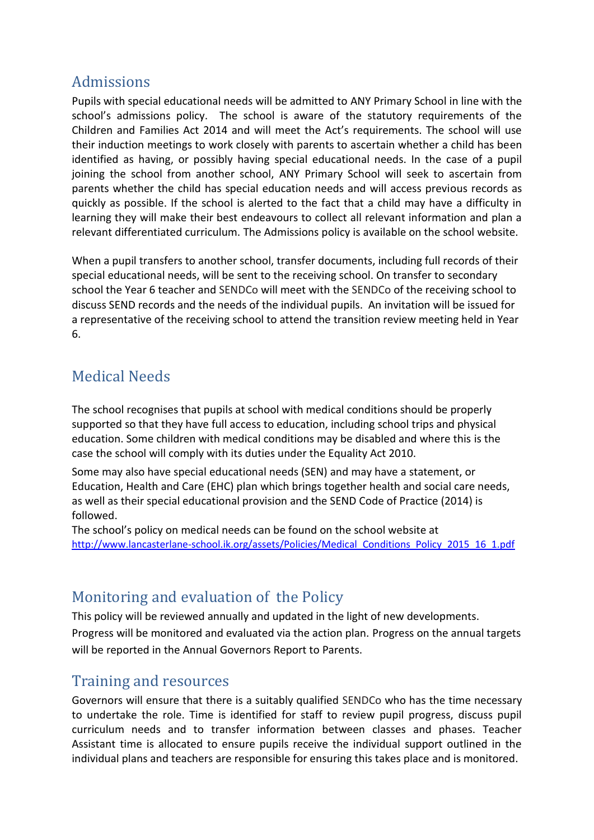#### Admissions

Pupils with special educational needs will be admitted to ANY Primary School in line with the school's admissions policy. The school is aware of the statutory requirements of the Children and Families Act 2014 and will meet the Act's requirements. The school will use their induction meetings to work closely with parents to ascertain whether a child has been identified as having, or possibly having special educational needs. In the case of a pupil joining the school from another school, ANY Primary School will seek to ascertain from parents whether the child has special education needs and will access previous records as quickly as possible. If the school is alerted to the fact that a child may have a difficulty in learning they will make their best endeavours to collect all relevant information and plan a relevant differentiated curriculum. The Admissions policy is available on the school website.

When a pupil transfers to another school, transfer documents, including full records of their special educational needs, will be sent to the receiving school. On transfer to secondary school the Year 6 teacher and SENDCo will meet with the SENDCo of the receiving school to discuss SEND records and the needs of the individual pupils. An invitation will be issued for a representative of the receiving school to attend the transition review meeting held in Year 6.

## Medical Needs

The school recognises that pupils at school with medical conditions should be properly supported so that they have full access to education, including school trips and physical education. Some children with medical conditions may be disabled and where this is the case the school will comply with its duties under the Equality Act 2010.

Some may also have special educational needs (SEN) and may have a statement, or Education, Health and Care (EHC) plan which brings together health and social care needs, as well as their special educational provision and the SEND Code of Practice (2014) is followed.

The school's policy on medical needs can be found on the school website at http://www.lancasterlane-school.ik.org/assets/Policies/Medical Conditions Policy 2015 16 1.pdf

#### Monitoring and evaluation of the Policy

This policy will be reviewed annually and updated in the light of new developments. Progress will be monitored and evaluated via the action plan. Progress on the annual targets will be reported in the Annual Governors Report to Parents.

#### Training and resources

Governors will ensure that there is a suitably qualified SENDCo who has the time necessary to undertake the role. Time is identified for staff to review pupil progress, discuss pupil curriculum needs and to transfer information between classes and phases. Teacher Assistant time is allocated to ensure pupils receive the individual support outlined in the individual plans and teachers are responsible for ensuring this takes place and is monitored.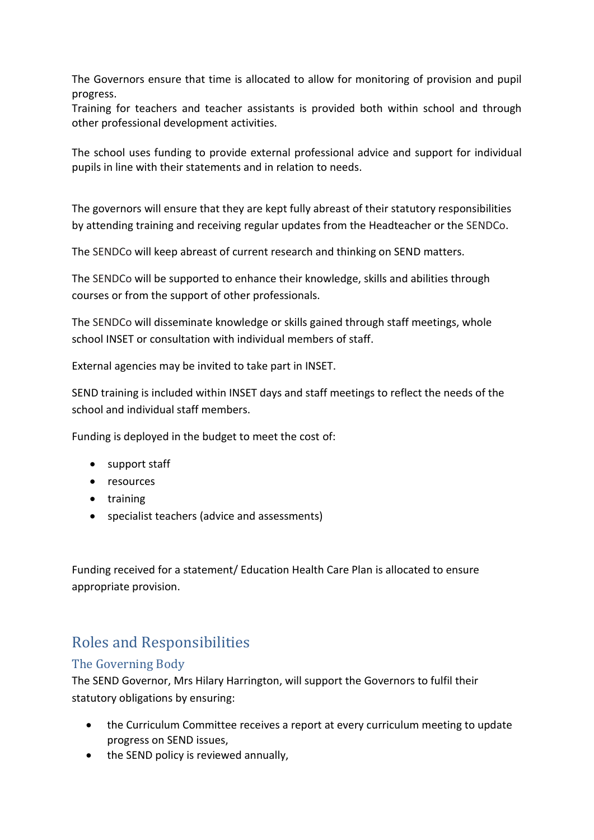The Governors ensure that time is allocated to allow for monitoring of provision and pupil progress.

Training for teachers and teacher assistants is provided both within school and through other professional development activities.

The school uses funding to provide external professional advice and support for individual pupils in line with their statements and in relation to needs.

The governors will ensure that they are kept fully abreast of their statutory responsibilities by attending training and receiving regular updates from the Headteacher or the SENDCo.

The SENDCo will keep abreast of current research and thinking on SEND matters.

The SENDCo will be supported to enhance their knowledge, skills and abilities through courses or from the support of other professionals.

The SENDCo will disseminate knowledge or skills gained through staff meetings, whole school INSET or consultation with individual members of staff.

External agencies may be invited to take part in INSET.

SEND training is included within INSET days and staff meetings to reflect the needs of the school and individual staff members.

Funding is deployed in the budget to meet the cost of:

- support staff
- resources
- training
- specialist teachers (advice and assessments)

Funding received for a statement/ Education Health Care Plan is allocated to ensure appropriate provision.

## Roles and Responsibilities

#### The Governing Body

The SEND Governor, Mrs Hilary Harrington, will support the Governors to fulfil their statutory obligations by ensuring:

- the Curriculum Committee receives a report at every curriculum meeting to update progress on SEND issues,
- the SEND policy is reviewed annually,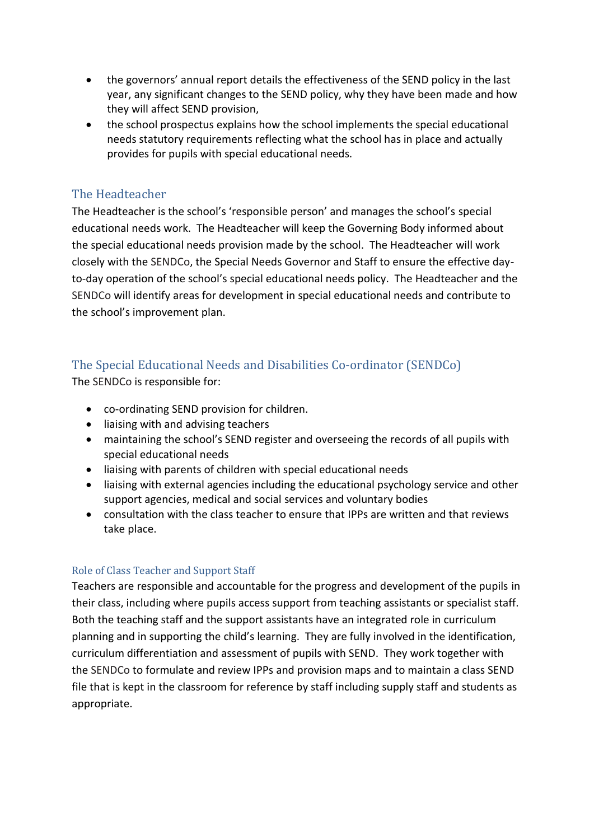- the governors' annual report details the effectiveness of the SEND policy in the last year, any significant changes to the SEND policy, why they have been made and how they will affect SEND provision,
- the school prospectus explains how the school implements the special educational needs statutory requirements reflecting what the school has in place and actually provides for pupils with special educational needs.

#### The Headteacher

The Headteacher is the school's 'responsible person' and manages the school's special educational needs work. The Headteacher will keep the Governing Body informed about the special educational needs provision made by the school. The Headteacher will work closely with the SENDCo, the Special Needs Governor and Staff to ensure the effective dayto-day operation of the school's special educational needs policy. The Headteacher and the SENDCo will identify areas for development in special educational needs and contribute to the school's improvement plan.

#### The Special Educational Needs and Disabilities Co-ordinator (SENDCo)

The SENDCo is responsible for:

- co-ordinating SEND provision for children.
- liaising with and advising teachers
- maintaining the school's SEND register and overseeing the records of all pupils with special educational needs
- liaising with parents of children with special educational needs
- liaising with external agencies including the educational psychology service and other support agencies, medical and social services and voluntary bodies
- consultation with the class teacher to ensure that IPPs are written and that reviews take place.

#### Role of Class Teacher and Support Staff

Teachers are responsible and accountable for the progress and development of the pupils in their class, including where pupils access support from teaching assistants or specialist staff. Both the teaching staff and the support assistants have an integrated role in curriculum planning and in supporting the child's learning. They are fully involved in the identification, curriculum differentiation and assessment of pupils with SEND. They work together with the SENDCo to formulate and review IPPs and provision maps and to maintain a class SEND file that is kept in the classroom for reference by staff including supply staff and students as appropriate.